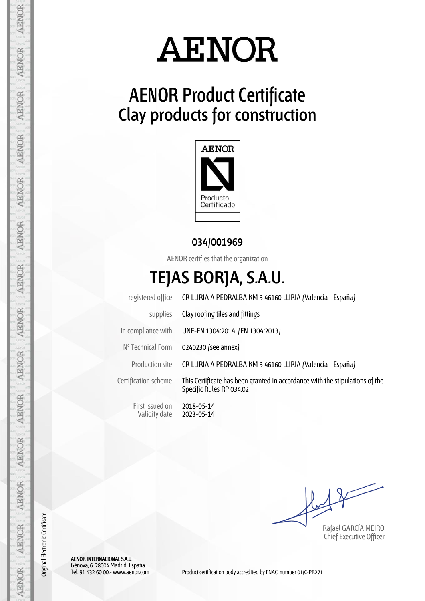

## **AENOR Product Certificate Clay products for construction**



## **034/001969**

AENOR certifies that the organization

## **TEJAS BORJA, S.A.U.**

|                                  | registered office CR LLIRIA A PEDRALBA KM 3 46160 LLIRIA (Valencia - España)                             |  |  |  |  |  |  |  |
|----------------------------------|----------------------------------------------------------------------------------------------------------|--|--|--|--|--|--|--|
| supplies                         | Clay roofing tiles and fittings                                                                          |  |  |  |  |  |  |  |
| in compliance with               | UNE-EN 1304:2014 (EN 1304:2013)                                                                          |  |  |  |  |  |  |  |
| Nº Technical Form                | 0240230 (see annex)                                                                                      |  |  |  |  |  |  |  |
| Production site                  | CR LLIRIA A PEDRALBA KM 3 46160 LLIRIA (Valencia - España)                                               |  |  |  |  |  |  |  |
| Certification scheme             | This Certificate has been granted in accordance with the stipulations of the<br>Specific Rules RP 034.02 |  |  |  |  |  |  |  |
| First issued on<br>Validity date | 2018-05-14<br>2023-05-14                                                                                 |  |  |  |  |  |  |  |

Rafael GARCÍA MEIRO Chief Executive Officer

AENOR INTERNACIONAL S.A.U. Génova, 6. 28004 Madrid. España

**AENOR** 

**AENOR** 

**AENOR** 

**AENOR** 

AENOR

AENOR

AENOR

AENOR

Original Electronic Certificate

Original Electronic Certificate